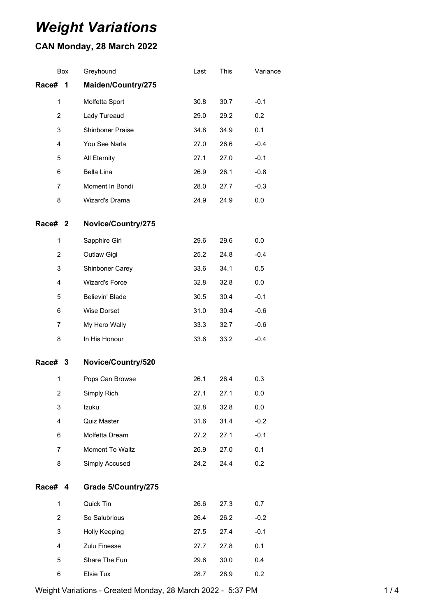# *Weight Variations*

## **CAN Monday, 28 March 2022**

|                | Box | Greyhound             | Last | This | Variance |
|----------------|-----|-----------------------|------|------|----------|
| Race#          | 1   | Maiden/Country/275    |      |      |          |
| 1              |     | Molfetta Sport        | 30.8 | 30.7 | $-0.1$   |
| $\overline{c}$ |     | Lady Tureaud          | 29.0 | 29.2 | 0.2      |
| 3              |     | Shinboner Praise      | 34.8 | 34.9 | 0.1      |
| 4              |     | You See Narla         | 27.0 | 26.6 | $-0.4$   |
| 5              |     | All Eternity          | 27.1 | 27.0 | $-0.1$   |
| 6              |     | Bella Lina            | 26.9 | 26.1 | $-0.8$   |
| 7              |     | Moment In Bondi       | 28.0 | 27.7 | $-0.3$   |
| 8              |     | Wizard's Drama        | 24.9 | 24.9 | 0.0      |
| Race# 2        |     | Novice/Country/275    |      |      |          |
| $\mathbf{1}$   |     | Sapphire Girl         | 29.6 | 29.6 | 0.0      |
| 2              |     | Outlaw Gigi           | 25.2 | 24.8 | $-0.4$   |
| 3              |     | Shinboner Carey       | 33.6 | 34.1 | 0.5      |
| 4              |     | <b>Wizard's Force</b> | 32.8 | 32.8 | 0.0      |
| 5              |     | Believin' Blade       | 30.5 | 30.4 | $-0.1$   |
| 6              |     | Wise Dorset           | 31.0 | 30.4 | $-0.6$   |
| 7              |     | My Hero Wally         | 33.3 | 32.7 | $-0.6$   |
| 8              |     | In His Honour         | 33.6 | 33.2 | $-0.4$   |
| Race# 3        |     | Novice/Country/520    |      |      |          |
| $\mathbf 1$    |     | Pops Can Browse       | 26.1 | 26.4 | 0.3      |
| 2              |     | Simply Rich           | 27.1 | 27.1 | 0.0      |
| 3              |     | Izuku                 | 32.8 | 32.8 | 0.0      |
| 4              |     | Quiz Master           | 31.6 | 31.4 | $-0.2$   |
| 6              |     | Molfetta Dream        | 27.2 | 27.1 | $-0.1$   |
| 7              |     | Moment To Waltz       | 26.9 | 27.0 | 0.1      |
| 8              |     | Simply Accused        | 24.2 | 24.4 | 0.2      |
| Race# 4        |     | Grade 5/Country/275   |      |      |          |
| 1              |     | Quick Tin             | 26.6 | 27.3 | 0.7      |
| $\overline{2}$ |     | So Salubrious         | 26.4 | 26.2 | $-0.2$   |
| 3              |     | Holly Keeping         | 27.5 | 27.4 | $-0.1$   |
| 4              |     | Zulu Finesse          | 27.7 | 27.8 | 0.1      |
| 5              |     | Share The Fun         | 29.6 | 30.0 | 0.4      |
| 6              |     | Elsie Tux             | 28.7 | 28.9 | 0.2      |

Weight Variations - Created Monday, 28 March 2022 - 5:37 PM 1/4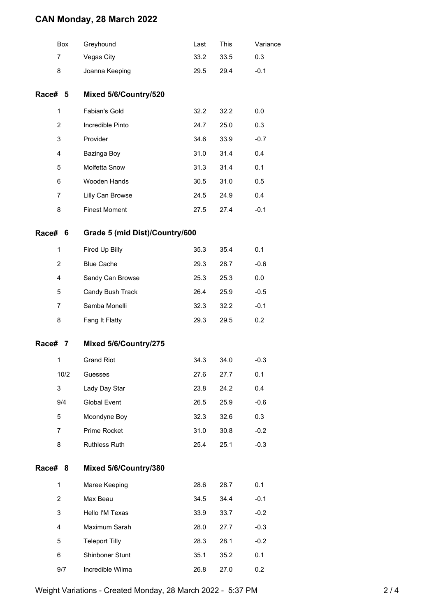### **CAN Monday, 28 March 2022**

|            | Box            | Greyhound                      | Last | <b>This</b> | Variance |  |  |
|------------|----------------|--------------------------------|------|-------------|----------|--|--|
|            | 7              | Vegas City                     | 33.2 | 33.5        | 0.3      |  |  |
|            | 8              | Joanna Keeping                 | 29.5 | 29.4        | $-0.1$   |  |  |
| Race# 5    |                | Mixed 5/6/Country/520          |      |             |          |  |  |
|            | $\mathbf{1}$   | Fabian's Gold                  | 32.2 | 32.2        | 0.0      |  |  |
|            | $\overline{2}$ | Incredible Pinto               | 24.7 | 25.0        | 0.3      |  |  |
|            | 3              | Provider                       | 34.6 | 33.9        | $-0.7$   |  |  |
|            | 4              | Bazinga Boy                    | 31.0 | 31.4        | 0.4      |  |  |
|            | 5              | Molfetta Snow                  | 31.3 | 31.4        | 0.1      |  |  |
|            | 6              | Wooden Hands                   | 30.5 | 31.0        | 0.5      |  |  |
|            | 7              | Lilly Can Browse               | 24.5 | 24.9        | 0.4      |  |  |
|            | 8              | <b>Finest Moment</b>           | 27.5 | 27.4        | $-0.1$   |  |  |
| Race#<br>6 |                | Grade 5 (mid Dist)/Country/600 |      |             |          |  |  |
|            | 1              | Fired Up Billy                 | 35.3 | 35.4        | 0.1      |  |  |
|            | 2              | <b>Blue Cache</b>              | 29.3 | 28.7        | $-0.6$   |  |  |
|            | 4              | Sandy Can Browse               | 25.3 | 25.3        | 0.0      |  |  |
|            | 5              | Candy Bush Track               | 26.4 | 25.9        | $-0.5$   |  |  |
|            | 7              | Samba Monelli                  | 32.3 | 32.2        | $-0.1$   |  |  |
|            | 8              | Fang It Flatty                 | 29.3 | 29.5        | 0.2      |  |  |
| Race#<br>7 |                | Mixed 5/6/Country/275          |      |             |          |  |  |
|            | 1              | <b>Grand Riot</b>              | 34.3 | 34.0        | $-0.3$   |  |  |
|            | 10/2           | Guesses                        | 27.6 | 27.7        | 0.1      |  |  |
|            | 3              | Lady Day Star                  | 23.8 | 24.2        | 0.4      |  |  |
|            | 9/4            | Global Event                   | 26.5 | 25.9        | $-0.6$   |  |  |
|            | 5              | Moondyne Boy                   | 32.3 | 32.6        | 0.3      |  |  |
|            | $\overline{7}$ | Prime Rocket                   | 31.0 | 30.8        | $-0.2$   |  |  |
|            | 8              | Ruthless Ruth                  | 25.4 | 25.1        | $-0.3$   |  |  |
| Race#      | 8              | Mixed 5/6/Country/380          |      |             |          |  |  |
|            | 1              | Maree Keeping                  | 28.6 | 28.7        | 0.1      |  |  |
|            | 2              | Max Beau                       | 34.5 | 34.4        | $-0.1$   |  |  |
|            | 3              | Hello I'M Texas                | 33.9 | 33.7        | $-0.2$   |  |  |
|            | 4              | Maximum Sarah                  | 28.0 | 27.7        | $-0.3$   |  |  |
|            | 5              | <b>Teleport Tilly</b>          | 28.3 | 28.1        | $-0.2$   |  |  |
|            | 6              | Shinboner Stunt                | 35.1 | 35.2        | 0.1      |  |  |
|            | 9/7            | Incredible Wilma               | 26.8 | 27.0        | 0.2      |  |  |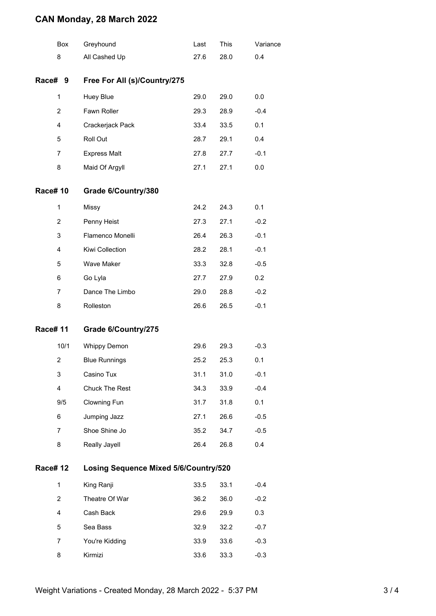### **CAN Monday, 28 March 2022**

|                | Box            | Greyhound                                    | Last | This | Variance |  |  |  |
|----------------|----------------|----------------------------------------------|------|------|----------|--|--|--|
|                | 8              | All Cashed Up                                | 27.6 | 28.0 | 0.4      |  |  |  |
| <b>Race#</b>   | 9              | Free For All (s)/Country/275                 |      |      |          |  |  |  |
|                | $\mathbf{1}$   | Huey Blue                                    | 29.0 | 29.0 | 0.0      |  |  |  |
|                | $\overline{2}$ | Fawn Roller                                  | 29.3 | 28.9 | $-0.4$   |  |  |  |
|                | 4              | Crackerjack Pack                             | 33.4 | 33.5 | 0.1      |  |  |  |
|                | 5              | Roll Out                                     | 28.7 | 29.1 | 0.4      |  |  |  |
|                | 7              | <b>Express Malt</b>                          | 27.8 | 27.7 | $-0.1$   |  |  |  |
|                | 8              | Maid Of Argyll                               | 27.1 | 27.1 | 0.0      |  |  |  |
| <b>Race#10</b> |                | Grade 6/Country/380                          |      |      |          |  |  |  |
|                | $\mathbf{1}$   | <b>Missy</b>                                 | 24.2 | 24.3 | 0.1      |  |  |  |
|                | $\overline{2}$ | Penny Heist                                  | 27.3 | 27.1 | $-0.2$   |  |  |  |
|                | 3              | Flamenco Monelli                             | 26.4 | 26.3 | $-0.1$   |  |  |  |
|                | 4              | Kiwi Collection                              | 28.2 | 28.1 | $-0.1$   |  |  |  |
|                | 5              | Wave Maker                                   | 33.3 | 32.8 | $-0.5$   |  |  |  |
|                | 6              | Go Lyla                                      | 27.7 | 27.9 | 0.2      |  |  |  |
|                | 7              | Dance The Limbo                              | 29.0 | 28.8 | $-0.2$   |  |  |  |
|                | 8              | Rolleston                                    | 26.6 | 26.5 | $-0.1$   |  |  |  |
| <b>Race#11</b> |                | Grade 6/Country/275                          |      |      |          |  |  |  |
|                | 10/1           | <b>Whippy Demon</b>                          | 29.6 | 29.3 | $-0.3$   |  |  |  |
|                | $\overline{2}$ | <b>Blue Runnings</b>                         | 25.2 | 25.3 | 0.1      |  |  |  |
|                | 3              | Casino Tux                                   | 31.1 | 31.0 | $-0.1$   |  |  |  |
|                | 4              | Chuck The Rest                               | 34.3 | 33.9 | $-0.4$   |  |  |  |
|                | 9/5            | Clowning Fun                                 | 31.7 | 31.8 | 0.1      |  |  |  |
|                | 6              | Jumping Jazz                                 | 27.1 | 26.6 | $-0.5$   |  |  |  |
|                | 7              | Shoe Shine Jo                                | 35.2 | 34.7 | $-0.5$   |  |  |  |
|                | 8              | Really Jayell                                | 26.4 | 26.8 | 0.4      |  |  |  |
| <b>Race#12</b> |                | <b>Losing Sequence Mixed 5/6/Country/520</b> |      |      |          |  |  |  |
|                | 1              | King Ranji                                   | 33.5 | 33.1 | $-0.4$   |  |  |  |
|                | 2              | Theatre Of War                               | 36.2 | 36.0 | $-0.2$   |  |  |  |
|                | 4              | Cash Back                                    | 29.6 | 29.9 | 0.3      |  |  |  |
|                | 5              | Sea Bass                                     | 32.9 | 32.2 | $-0.7$   |  |  |  |
|                | 7              | You're Kidding                               | 33.9 | 33.6 | $-0.3$   |  |  |  |
|                | 8              | Kirmizi                                      | 33.6 | 33.3 | $-0.3$   |  |  |  |
|                |                |                                              |      |      |          |  |  |  |